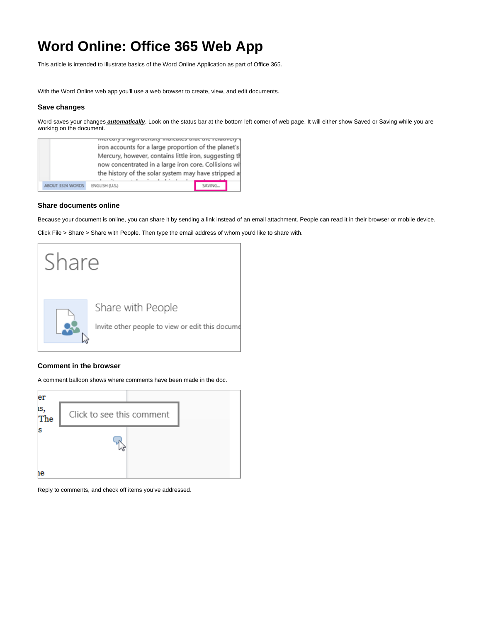# **Word Online: Office 365 Web App**

This article is intended to illustrate basics of the Word Online Application as part of Office 365.

With the Word Online web app you'll use a web browser to create, view, and edit documents.

# **Save changes**

Word saves your changes **automatically**. Look on the status bar at the bottom left corner of web page. It will either show Saved or Saving while you are working on the document.

|                  | iron accounts for a large proportion of the planet's<br>Mercury, however, contains little iron, suggesting th<br>now concentrated in a large iron core. Collisions wij<br>the history of the solar system may have stripped a |         |  |
|------------------|-------------------------------------------------------------------------------------------------------------------------------------------------------------------------------------------------------------------------------|---------|--|
| ABOUT 3324 WORDS | ENGLISH (U.S.)                                                                                                                                                                                                                | SAVING. |  |

# **Share documents online**

Because your document is online, you can share it by sending a link instead of an email attachment. People can read it in their browser or mobile device.

Click File > Share > Share with People. Then type the email address of whom you'd like to share with.



### **Comment in the browser**

A comment balloon shows where comments have been made in the doc.



Reply to comments, and check off items you've addressed.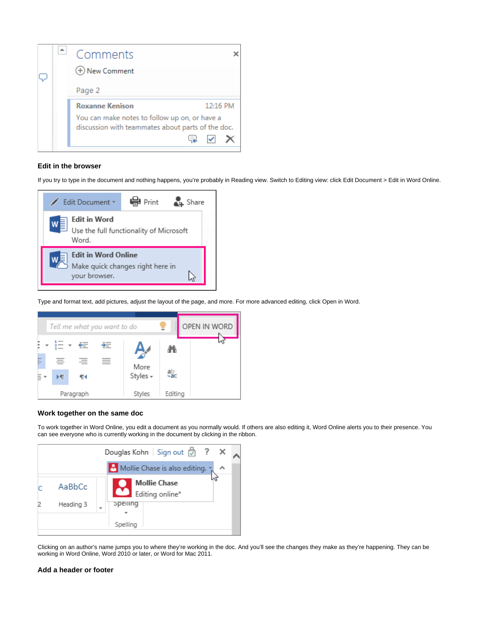

# **Edit in the browser**

If you try to type in the document and nothing happens, you're probably in Reading view. Switch to Editing view: click Edit Document > Edit in Word Online.



Type and format text, add pictures, adjust the layout of the page, and more. For more advanced editing, click Open in Word.



#### **Work together on the same doc**

To work together in Word Online, you edit a document as you normally would. If others are also editing it, Word Online alerts you to their presence. You can see everyone who is currently working in the document by clicking in the ribbon.



Clicking on an author's name jumps you to where they're working in the doc. And you'll see the changes they make as they're happening. They can be working in Word Online, Word 2010 or later, or Word for Mac 2011.

#### **Add a header or footer**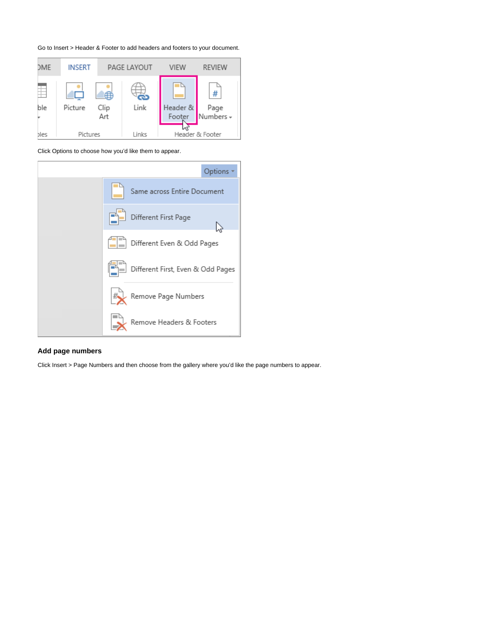



Click Options to choose how you'd like them to appear.



# **Add page numbers**

Click Insert > Page Numbers and then choose from the gallery where you'd like the page numbers to appear.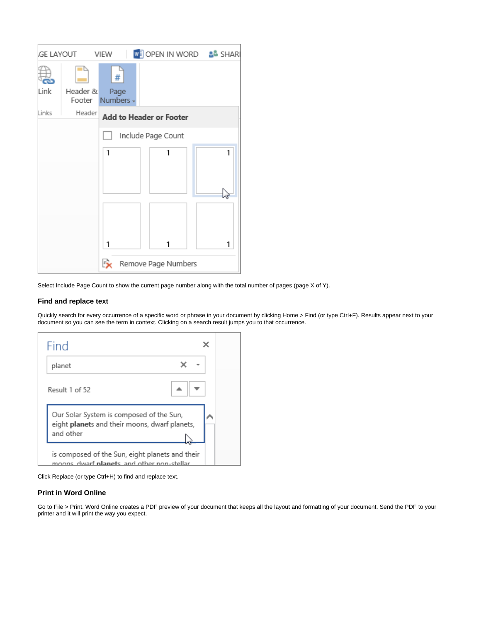|                    | GE LAYOUT VIEW                           |                          | <b>WE OPEN IN WORD &amp; SHARI</b> |   |
|--------------------|------------------------------------------|--------------------------|------------------------------------|---|
|                    |                                          | #                        |                                    |   |
| Link               | Header &                                 | Page<br>Footer Numbers - |                                    |   |
| Links              | Header<br><b>Add to Header or Footer</b> |                          |                                    |   |
| Include Page Count |                                          |                          |                                    |   |
|                    |                                          | 1                        | 1                                  | 1 |
|                    |                                          |                          |                                    |   |
|                    |                                          |                          |                                    |   |
|                    |                                          |                          |                                    |   |
|                    |                                          |                          |                                    |   |
|                    |                                          | 1                        | 1                                  | 1 |
|                    |                                          | Ŀх                       | Remove Page Numbers                |   |

Select Include Page Count to show the current page number along with the total number of pages (page X of Y).

# **Find and replace text**

Quickly search for every occurrence of a specific word or phrase in your document by clicking Home > Find (or type Ctrl+F). Results appear next to your document so you can see the term in context. Clicking on a search result jumps you to that occurrence.

| Find                                                                                                   |  |
|--------------------------------------------------------------------------------------------------------|--|
| planet                                                                                                 |  |
| Result 1 of 52                                                                                         |  |
| Our Solar System is composed of the Sun,<br>eight planets and their moons, dwarf planets,<br>and other |  |
| is composed of the Sun, eight planets and their<br>moons dwarf <b>planet</b> s and other non-stellar   |  |

Click Replace (or type Ctrl+H) to find and replace text.

# **Print in Word Online**

Go to File > Print. Word Online creates a PDF preview of your document that keeps all the layout and formatting of your document. Send the PDF to your printer and it will print the way you expect.